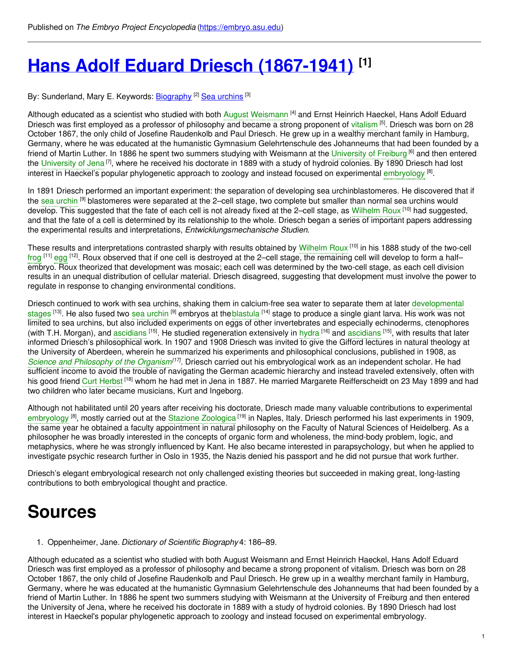# **Hans Adolf Eduard Driesch [\(1867-1941\)](https://embryo.asu.edu/pages/hans-adolf-eduard-driesch-1867-1941) [1]**

By: Sunderland, Mary E. Keywords: <u>[Biography](https://embryo.asu.edu/keywords/biography) [2] Sea [urchins](https://embryo.asu.edu/keywords/sea-urchins)</u> [3]

Although educated as a scientist who studied with both August [Weismann](https://embryo.asu.edu/search?text=August%20Weismann) <sup>[4]</sup> and Ernst Heinrich Haeckel, Hans Adolf Eduard Driesch was first employed as a professor of philosophy and became a strong proponent of [vitalism](https://embryo.asu.edu/search?text=vitalism) <sup>[5]</sup>. Driesch was born on 28 October 1867, the only child of Josefine Raudenkolb and Paul Driesch. He grew up in a wealthy merchant family in Hamburg, Germany, where he was educated at the humanistic Gymnasium Gelehrtenschule des Johanneums that had been founded by a friend of Martin Luther. In 1886 he spent two summers studying with Weismann at the [University](https://embryo.asu.edu/search?text=University%20of%20Freiburg) of Freiburg <sup>[6]</sup> and then entered the [University](https://embryo.asu.edu/search?text=University%20of%20Jena) of Jena<sup>[7]</sup>, where he received his doctorate in 1889 with a study of hydroid colonies. By 1890 Driesch had lost interest in Haeckel's popular phylogenetic approach to zoology and instead focused on experimental [embryology](https://embryo.asu.edu/search?text=embryology) <sup>[8]</sup>.

In 1891 Driesch performed an important experiment: the separation of developing sea urchinblastomeres. He discovered that if the sea [urchin](https://embryo.asu.edu/search?text=sea%20urchin) <sup>[9]</sup> blastomeres were separated at the 2–cell stage, two complete but smaller than normal sea urchins would develop. This suggested that the fate of each cell is not already fixed at the 2–cell stage, as [Wilhelm](https://embryo.asu.edu/search?text=Wilhelm%20Roux) Roux <sup>[10]</sup> had suggested, and that the fate of a cell is determined by its relationship to the whole. Driesch began a series of important papers addressing the experimental results and interpretations, *Entwicklungsmechanische Studien*.

These results and interpretations contrasted sharply with results obtained by [Wilhelm](https://embryo.asu.edu/search?text=Wilhelm%20Roux) Roux <sup>[10]</sup> in his 1888 study of the two-cell [frog](https://embryo.asu.edu/search?text=frog) <sup>[11]</sup> [egg](https://embryo.asu.edu/search?text=egg) <sup>[12]</sup>. Roux observed that if one cell is destroyed at the 2–cell stage, the remaining cell will develop to form a half– embryo. Roux theorized that development was mosaic; each cell was determined by the two-cell stage, as each cell division results in an unequal distribution of cellular material. Driesch disagreed, suggesting that development must involve the power to regulate in response to changing environmental conditions.

Driesch continued to work with sea urchins, shaking them in calcium-free sea water to separate them at later [developmental](https://embryo.asu.edu/search?text=developmental%20stages) stages <sup>[13]</sup>. He also fused two sea [urchin](https://embryo.asu.edu/search?text=sea%20urchin) <sup>[9]</sup> embryos at the[blastula](https://embryo.asu.edu/search?text=blastula) <sup>[14]</sup> stage to produce a single giant larva. His work was not limited to sea urchins, but also included experiments on eggs of other invertebrates and especially echinoderms, ctenophores (with T.H. Morgan), and [ascidians](https://embryo.asu.edu/search?text=ascidians) <sup>[15]</sup>. He studied regeneration extensively in [hydra](https://embryo.asu.edu/search?text=hydra) <sup>[16]</sup> and ascidians <sup>[15]</sup>, with results that later informed Driesch's philosophical work. In 1907 and 1908 Driesch was invited to give the Gifford lectures in natural theology at the University of Aberdeen, wherein he summarized his experiments and philosophical conclusions, published in 1908, as *Science and [Philosophy](https://embryo.asu.edu/search?text=Science%20and%20Philosophy%20of%20the%20Organism) of the Organism[17]* . Driesch carried out his embryological work as an independent scholar. He had sufficient income to avoid the trouble of navigating the German academic hierarchy and instead traveled extensively, often with his good friend Curt [Herbst](https://embryo.asu.edu/search?text=Curt%20Herbst) <sup>[18]</sup> whom he had met in Jena in 1887. He married Margarete Reifferscheidt on 23 May 1899 and had two children who later became musicians, Kurt and Ingeborg.

Although not habilitated until 20 years after receiving his doctorate, Driesch made many valuable contributions to experimental [embryology](https://embryo.asu.edu/search?text=embryology) <sup>[8]</sup>, mostly carried out at the Stazione [Zoologica](https://embryo.asu.edu/search?text=Stazione%20Zoologica) <sup>[19]</sup> in Naples, Italy. Driesch performed his last experiments in 1909, the same year he obtained a faculty appointment in natural philosophy on the Faculty of Natural Sciences of Heidelberg. As a philosopher he was broadly interested in the concepts of organic form and wholeness, the mind-body problem, logic, and metaphysics, where he was strongly influenced by Kant. He also became interested in parapsychology, but when he applied to investigate psychic research further in Oslo in 1935, the Nazis denied his passport and he did not pursue that work further.

Driesch's elegant embryological research not only challenged existing theories but succeeded in making great, long-lasting contributions to both embryological thought and practice.

## **Sources**

1. Oppenheimer, Jane. *Dictionary of Scientific Biography* 4: 186–89.

Although educated as a scientist who studied with both August Weismann and Ernst Heinrich Haeckel, Hans Adolf Eduard Driesch was first employed as a professor of philosophy and became a strong proponent of vitalism. Driesch was born on 28 October 1867, the only child of Josefine Raudenkolb and Paul Driesch. He grew up in a wealthy merchant family in Hamburg, Germany, where he was educated at the humanistic Gymnasium Gelehrtenschule des Johanneums that had been founded by a friend of Martin Luther. In 1886 he spent two summers studying with Weismann at the University of Freiburg and then entered the University of Jena, where he received his doctorate in 1889 with a study of hydroid colonies. By 1890 Driesch had lost interest in Haeckel's popular phylogenetic approach to zoology and instead focused on experimental embryology.